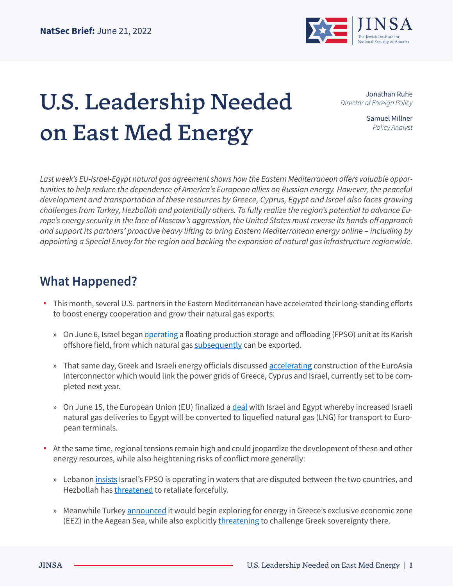

## U.S. Leadership Needed on East Med Energy

Jonathan Ruhe *Director of Foreign Policy*

> Samuel Millner *Policy Analyst*

*Last week's EU-Israel-Egypt natural gas agreement shows how the Eastern Mediterranean offers valuable opportunities to help reduce the dependence of America's European allies on Russian energy. However, the peaceful development and transportation of these resources by Greece, Cyprus, Egypt and Israel also faces growing challenges from Turkey, Hezbollah and potentially others. To fully realize the region's potential to advance Europe's energy security in the face of Moscow's aggression, the United States must reverse its hands-off approach and support its partners' proactive heavy lifting to bring Eastern Mediterranean energy online – including by appointing a Special Envoy for the region and backing the expansion of natural gas infrastructure regionwide.* 

## **What Happened?**

- **•** This month, several U.S. partners in the Eastern Mediterranean have accelerated their long-standing efforts to boost energy cooperation and grow their natural gas exports:
	- » On June 6, Israel began [operating](https://www.morningstar.co.uk/uk/news/AN_1654504967135545300/energean-production-storage-unit-arrives-in-israel-for-karish-project.aspx) a floating production storage and offloading (FPSO) unit at its Karish offshore field, from which natural gas [subsequently](https://www.offshore-energy.biz/energean-step-closer-to-karish-first-gas-following-connection-to-israels-network/) can be exported.
	- » That same day, Greek and Israeli energy officials discussed [accelerating](https://www.ekathimerini.com/economy/1186246/greek-israeli-ministers-talk-euroasia-interconnector/) construction of the EuroAsia Interconnector which would link the power grids of Greece, Cyprus and Israel, currently set to be completed next year.
	- » On June 15, the European Union (EU) finalized a [deal](https://www.washingtonpost.com/world/2022/06/15/israel-gas-europe-export-turkey/) with Israel and Egypt whereby increased Israeli natural gas deliveries to Egypt will be converted to liquefied natural gas (LNG) for transport to European terminals.
- **•** At the same time, regional tensions remain high and could jeopardize the development of these and other energy resources, while also heightening risks of conflict more generally:
	- » Lebanon [insists](https://www.timesofisrael.com/israel-vows-to-defend-offshore-gas-rig-amid-escalating-tensions-with-lebanon/) Israel's FPSO is operating in waters that are disputed between the two countries, and Hezbollah has [threatened](https://www.bloomberg.com/news/articles/2022-06-06/israel-moves-gas-vessel-to-karish-field-in-move-angering-lebanon?sref=m52Hjoet) to retaliate forcefully.
	- » Meanwhile Turkey [announced](https://www.ekathimerini.com/news/1185490/turkish-navtex-reserves-central-aegean-sea-area/) it would begin exploring for energy in Greece's exclusive economic zone (EEZ) in the Aegean Sea, while also explicitly [threatening](https://www.washingtonpost.com/world/turkey-calls-on-greece-to-demilitarize-aegean-islands/2022/06/07/072f3a20-e668-11ec-a422-11bbb91db30b_story.html) to challenge Greek sovereignty there.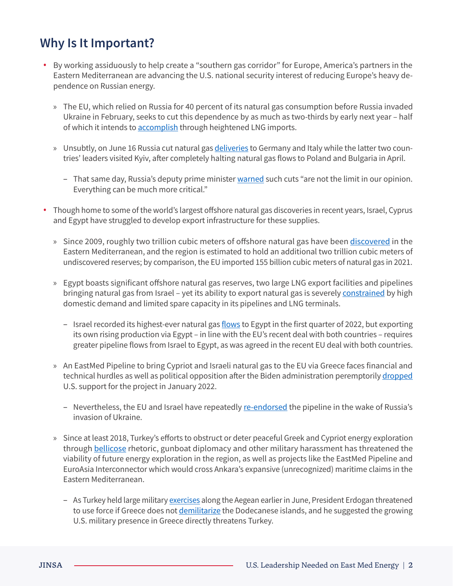## **Why Is It Important?**

- **•** By working assiduously to help create a "southern gas corridor" for Europe, America's partners in the Eastern Mediterranean are advancing the U.S. national security interest of reducing Europe's heavy dependence on Russian energy.
	- » The EU, which relied on Russia for 40 percent of its natural gas consumption before Russia invaded Ukraine in February, seeks to cut this dependence by as much as two-thirds by early next year – half of which it intends to **accomplish** through heightened LNG imports.
	- » Unsubtly, on June 16 Russia cut natural gas *deliveries* to Germany and Italy while the latter two countries' leaders visited Kyiv, after completely halting natural gas flows to Poland and Bulgaria in April.
		- That same day, Russia's deputy prime minister [warned](https://www.nytimes.com/2022/06/16/world/europe/russia-gas-cuts-ukraine-germany.html) such cuts "are not the limit in our opinion. Everything can be much more critical."
- **•** Though home to some of the world's largest offshore natural gas discoveries in recent years, Israel, Cyprus and Egypt have struggled to develop export infrastructure for these supplies.
	- » Since 2009, roughly two trillion cubic meters of offshore natural gas have been [discovered](https://www.wsj.com/articles/eu-signs-gas-deal-with-israel-egypt-in-bid-to-wean-itself-off-russian-supplies-11655299886) in the Eastern Mediterranean, and the region is estimated to hold an additional two trillion cubic meters of undiscovered reserves; by comparison, the EU imported 155 billion cubic meters of natural gas in 2021.
	- » Egypt boasts significant offshore natural gas reserves, two large LNG export facilities and pipelines bringing natural gas from Israel - yet its ability to export natural gas is severely [constrained](https://www.al-monitor.com/originals/2022/06/egypts-gas-imports-israel-hit-all-time-high?utm_source=pocket_mylist) by high domestic demand and limited spare capacity in its pipelines and LNG terminals.
		- Israel recorded its highest-ever natural gas [flows](https://www.al-monitor.com/originals/2022/04/italys-eni-tap-north-african-gas-europe) to Egypt in the first quarter of 2022, but exporting its own rising production via Egypt – in line with the EU's recent deal with both countries – requires greater pipeline flows from Israel to Egypt, as was agreed in the recent EU deal with both countries.
	- » An EastMed Pipeline to bring Cypriot and Israeli natural gas to the EU via Greece faces financial and technical hurdles as well as political opposition after the Biden administration peremptorily [dropped](https://www.jpost.com/international/article-693866) U.S. support for the project in January 2022.
		- Nevertheless, the EU and Israel have repeatedly [re-endorsed](https://www.reuters.com/business/energy/greece-cyprus-israel-expand-energy-cooperation-amid-ukraine-war-2022-04-05/) the pipeline in the wake of Russia's invasion of Ukraine.
	- » Since at least 2018, Turkey's efforts to obstruct or deter peaceful Greek and Cypriot energy exploration through **bellicose** rhetoric, gunboat diplomacy and other military harassment has threatened the viability of future energy exploration in the region, as well as projects like the EastMed Pipeline and EuroAsia Interconnector which would cross Ankara's expansive (unrecognized) maritime claims in the Eastern Mediterranean.
		- As Turkey held large military [exercises](https://www.newsweek.com/erdogan-watches-turkish-military-carry-out-exercises-37-allied-nations-1714483) along the Aegean earlier in June, President Erdogan threatened to use force if Greece does not [demilitarize](https://www.bloomberg.com/news/articles/2022-06-09/erdogan-criticises-us-bases-in-greece-ahead-of-military-exercise?sref=m52Hjoet) the Dodecanese islands, and he suggested the growing U.S. military presence in Greece directly threatens Turkey.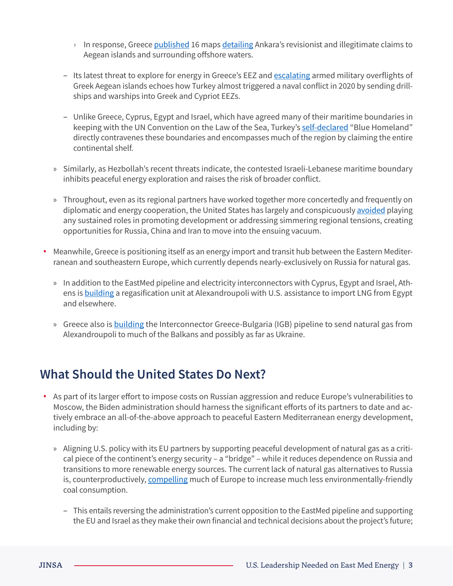- <sup>></sup> In response, Greece [published](https://www.mfa.gr/epikairotita/diloseis-omilies/anakoinose-tou-upourgeiou-exoterikon-gia-ton-tourkiko-anatheoretismo-ten-periodo-1973-2022-apeikonise-se-16-khartes-09062022.html) 16 maps [detailing](https://www.ekathimerini.com/news/1186442/greece-responds-to-turkish-claims-about-islands-with-maps/) Ankara's revisionist and illegitimate claims to Aegean islands and surrounding offshore waters.
- Its latest threat to explore for energy in Greece's EEZ and [escalating](https://greekcitytimes.com/2022/05/11/greek-airspace-turkish-fighter-jets/) armed military overflights of Greek Aegean islands echoes how Turkey almost triggered a naval conflict in 2020 by sending drillships and warships into Greek and Cypriot EEZs.
- Unlike Greece, Cyprus, Egypt and Israel, which have agreed many of their maritime boundaries in keeping with the UN Convention on the Law of the Sea, Turkey's [self-declared](https://warontherocks.com/2020/06/blue-homeland-the-heated-politics-behind-turkeys-new-maritime-strategy/) "Blue Homeland" directly contravenes these boundaries and encompasses much of the region by claiming the entire continental shelf.
- » Similarly, as Hezbollah's recent threats indicate, the contested Israeli-Lebanese maritime boundary inhibits peaceful energy exploration and raises the risk of broader conflict.
- » Throughout, even as its regional partners have worked together more concertedly and frequently on diplomatic and energy cooperation, the United States has largely and conspicuously [avoided](https://www.bing.com/search?q=jinsa+sea+changes&cvid=454b3f63d2df427b8dbfffe4b5a1170b&aqs=edge..69i57.4910j0j1&pglt=2083&FORM=ANSAB1&PC=U531) playing any sustained roles in promoting development or addressing simmering regional tensions, creating opportunities for Russia, China and Iran to move into the ensuing vacuum.
- **•** Meanwhile, Greece is positioning itself as an energy import and transit hub between the Eastern Mediterranean and southeastern Europe, which currently depends nearly-exclusively on Russia for natural gas.
	- » In addition to the EastMed pipeline and electricity interconnectors with Cyprus, Egypt and Israel, Athens is **building a regasification unit at Alexandroupoli with U.S. assistance to import LNG from Egypt** and elsewhere.
	- » Greece also is [building](https://www.aljazeera.com/features/2022/5/10/ukraine-war-speeds-greeces-transition-to-eu-energy-gateway) the Interconnector Greece-Bulgaria (IGB) pipeline to send natural gas from Alexandroupoli to much of the Balkans and possibly as far as Ukraine.

## **What Should the United States Do Next?**

- **•** As part of its larger effort to impose costs on Russian aggression and reduce Europe's vulnerabilities to Moscow, the Biden administration should harness the significant efforts of its partners to date and actively embrace an all-of-the-above approach to peaceful Eastern Mediterranean energy development, including by:
	- » Aligning U.S. policy with its EU partners by supporting peaceful development of natural gas as a critical piece of the continent's energy security – a "bridge" – while it reduces dependence on Russia and transitions to more renewable energy sources. The current lack of natural gas alternatives to Russia is, counterproductively, [compelling](https://www.nytimes.com/2022/06/16/world/europe/russia-gas-cuts-ukraine-germany.html?utm_source=pocket_mylist) much of Europe to increase much less environmentally-friendly coal consumption.
		- This entails reversing the administration's current opposition to the EastMed pipeline and supporting the EU and Israel as they make their own financial and technical decisions about the project's future;